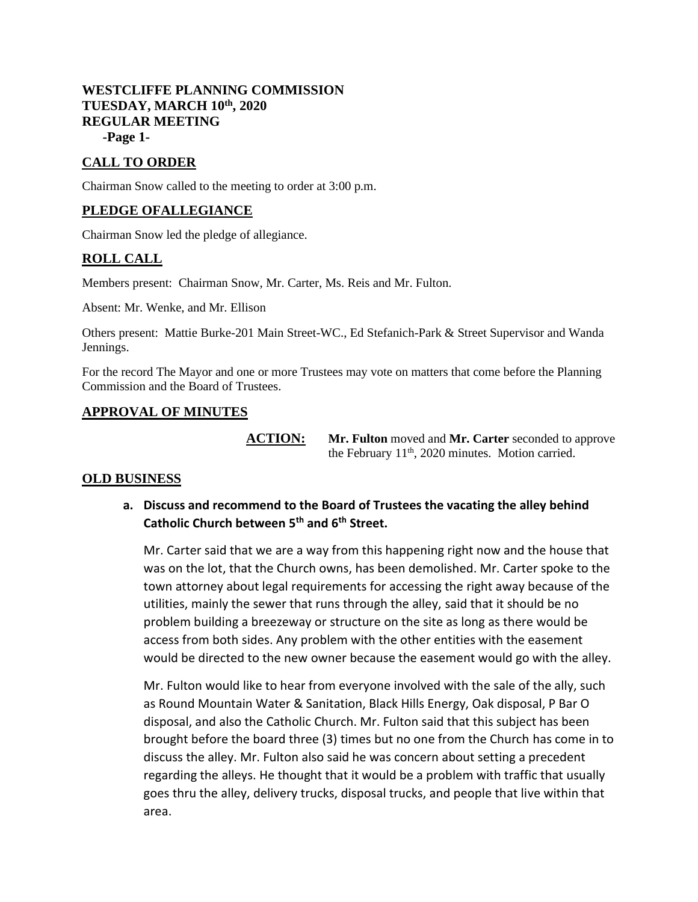# **WESTCLIFFE PLANNING COMMISSION TUESDAY, MARCH 10th, 2020 REGULAR MEETING -Page 1-**

# **CALL TO ORDER**

Chairman Snow called to the meeting to order at 3:00 p.m.

# **PLEDGE OFALLEGIANCE**

Chairman Snow led the pledge of allegiance.

# **ROLL CALL**

Members present: Chairman Snow, Mr. Carter, Ms. Reis and Mr. Fulton.

Absent: Mr. Wenke, and Mr. Ellison

Others present: Mattie Burke-201 Main Street-WC., Ed Stefanich-Park & Street Supervisor and Wanda Jennings.

For the record The Mayor and one or more Trustees may vote on matters that come before the Planning Commission and the Board of Trustees.

# **APPROVAL OF MINUTES**

**ACTION: Mr. Fulton** moved and **Mr. Carter** seconded to approve the February  $11<sup>th</sup>$ , 2020 minutes. Motion carried.

# **OLD BUSINESS**

**a. Discuss and recommend to the Board of Trustees the vacating the alley behind Catholic Church between 5th and 6th Street.** 

Mr. Carter said that we are a way from this happening right now and the house that was on the lot, that the Church owns, has been demolished. Mr. Carter spoke to the town attorney about legal requirements for accessing the right away because of the utilities, mainly the sewer that runs through the alley, said that it should be no problem building a breezeway or structure on the site as long as there would be access from both sides. Any problem with the other entities with the easement would be directed to the new owner because the easement would go with the alley.

Mr. Fulton would like to hear from everyone involved with the sale of the ally, such as Round Mountain Water & Sanitation, Black Hills Energy, Oak disposal, P Bar O disposal, and also the Catholic Church. Mr. Fulton said that this subject has been brought before the board three (3) times but no one from the Church has come in to discuss the alley. Mr. Fulton also said he was concern about setting a precedent regarding the alleys. He thought that it would be a problem with traffic that usually goes thru the alley, delivery trucks, disposal trucks, and people that live within that area.